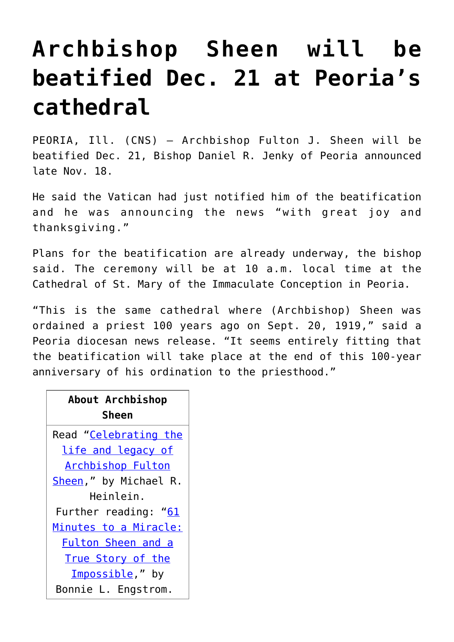## **[Archbishop Sheen will be](https://www.osvnews.com/2019/11/19/archbishop-sheen-will-be-beatified-dec-21-at-peorias-cathedral/) [beatified Dec. 21 at Peoria's](https://www.osvnews.com/2019/11/19/archbishop-sheen-will-be-beatified-dec-21-at-peorias-cathedral/) [cathedral](https://www.osvnews.com/2019/11/19/archbishop-sheen-will-be-beatified-dec-21-at-peorias-cathedral/)**

PEORIA, Ill. (CNS) — Archbishop Fulton J. Sheen will be beatified Dec. 21, Bishop Daniel R. Jenky of Peoria announced late Nov. 18.

He said the Vatican had just notified him of the beatification and he was announcing the news "with great joy and thanksgiving."

Plans for the beatification are already underway, the bishop said. The ceremony will be at 10 a.m. local time at the Cathedral of St. Mary of the Immaculate Conception in Peoria.

"This is the same cathedral where (Archbishop) Sheen was ordained a priest 100 years ago on Sept. 20, 1919," said a Peoria diocesan news release. "It seems entirely fitting that the beatification will take place at the end of this 100-year anniversary of his ordination to the priesthood."

| About Archbishop<br>Sheen    |
|------------------------------|
| Read "Celebrating the        |
| life and legacy of           |
| <b>Archbishop Fulton</b>     |
| Sheen," by Michael R.        |
| Heinlein.                    |
| Further reading: " <u>61</u> |
| Minutes to a Miracle:        |
| Fulton Sheen and a           |
| True Story of the            |
| Impossible," by              |
| Bonnie L. Engstrom.          |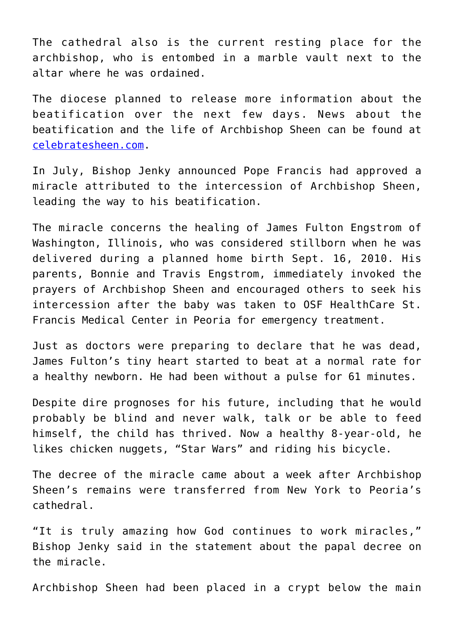The cathedral also is the current resting place for the archbishop, who is entombed in a marble vault next to the altar where he was ordained.

The diocese planned to release more information about the beatification over the next few days. News about the beatification and the life of Archbishop Sheen can be found at [celebratesheen.com.](http://celebratesheen.com)

In July, Bishop Jenky announced Pope Francis had approved a miracle attributed to the intercession of Archbishop Sheen, leading the way to his beatification.

The miracle concerns the healing of James Fulton Engstrom of Washington, Illinois, who was considered stillborn when he was delivered during a planned home birth Sept. 16, 2010. His parents, Bonnie and Travis Engstrom, immediately invoked the prayers of Archbishop Sheen and encouraged others to seek his intercession after the baby was taken to OSF HealthCare St. Francis Medical Center in Peoria for emergency treatment.

Just as doctors were preparing to declare that he was dead, James Fulton's tiny heart started to beat at a normal rate for a healthy newborn. He had been without a pulse for 61 minutes.

Despite dire prognoses for his future, including that he would probably be blind and never walk, talk or be able to feed himself, the child has thrived. Now a healthy 8-year-old, he likes chicken nuggets, "Star Wars" and riding his bicycle.

The decree of the miracle came about a week after Archbishop Sheen's remains were transferred from New York to Peoria's cathedral.

"It is truly amazing how God continues to work miracles," Bishop Jenky said in the statement about the papal decree on the miracle.

Archbishop Sheen had been placed in a crypt below the main